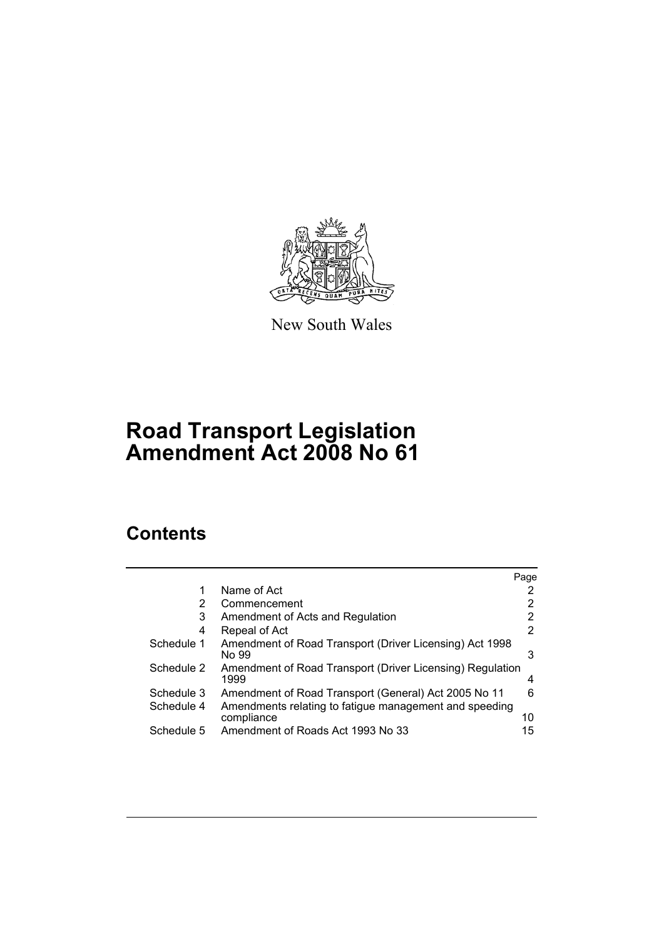

New South Wales

# **Road Transport Legislation Amendment Act 2008 No 61**

# **Contents**

|            |                                                                      | Page |
|------------|----------------------------------------------------------------------|------|
| 1          | Name of Act                                                          |      |
| 2          | Commencement                                                         |      |
| 3          | Amendment of Acts and Regulation                                     | 2    |
| 4          | Repeal of Act                                                        | 2    |
| Schedule 1 | Amendment of Road Transport (Driver Licensing) Act 1998<br>No 99     | 3    |
| Schedule 2 | Amendment of Road Transport (Driver Licensing) Regulation<br>1999    | 4    |
| Schedule 3 | Amendment of Road Transport (General) Act 2005 No 11                 | 6    |
| Schedule 4 | Amendments relating to fatigue management and speeding<br>compliance | 10   |
| Schedule 5 | Amendment of Roads Act 1993 No 33                                    | 15   |
|            |                                                                      |      |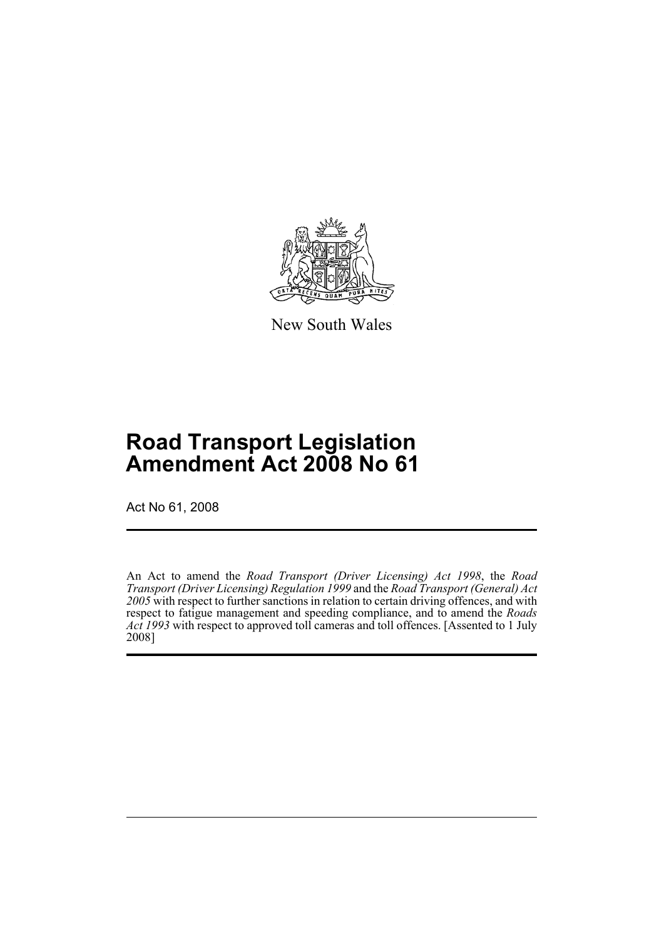

New South Wales

# **Road Transport Legislation Amendment Act 2008 No 61**

Act No 61, 2008

An Act to amend the *Road Transport (Driver Licensing) Act 1998*, the *Road Transport (Driver Licensing) Regulation 1999* and the *Road Transport (General) Act 2005* with respect to further sanctions in relation to certain driving offences, and with respect to fatigue management and speeding compliance, and to amend the *Roads Act 1993* with respect to approved toll cameras and toll offences. [Assented to 1 July 2008]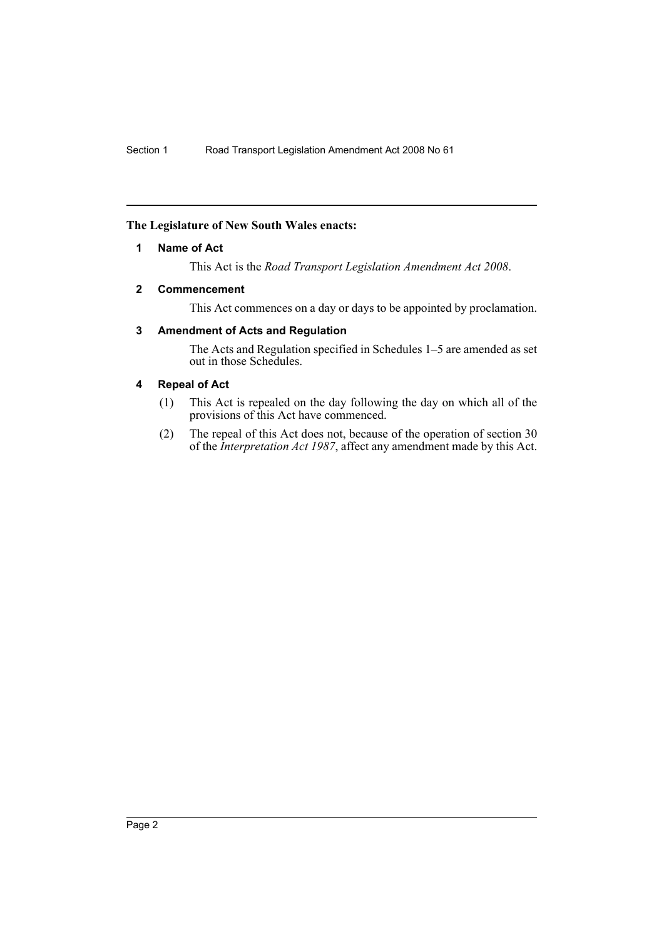## <span id="page-2-0"></span>**The Legislature of New South Wales enacts:**

## **1 Name of Act**

This Act is the *Road Transport Legislation Amendment Act 2008*.

#### <span id="page-2-1"></span>**2 Commencement**

This Act commences on a day or days to be appointed by proclamation.

# <span id="page-2-2"></span>**3 Amendment of Acts and Regulation**

The Acts and Regulation specified in Schedules 1–5 are amended as set out in those Schedules.

## <span id="page-2-3"></span>**4 Repeal of Act**

- (1) This Act is repealed on the day following the day on which all of the provisions of this Act have commenced.
- (2) The repeal of this Act does not, because of the operation of section 30 of the *Interpretation Act 1987*, affect any amendment made by this Act.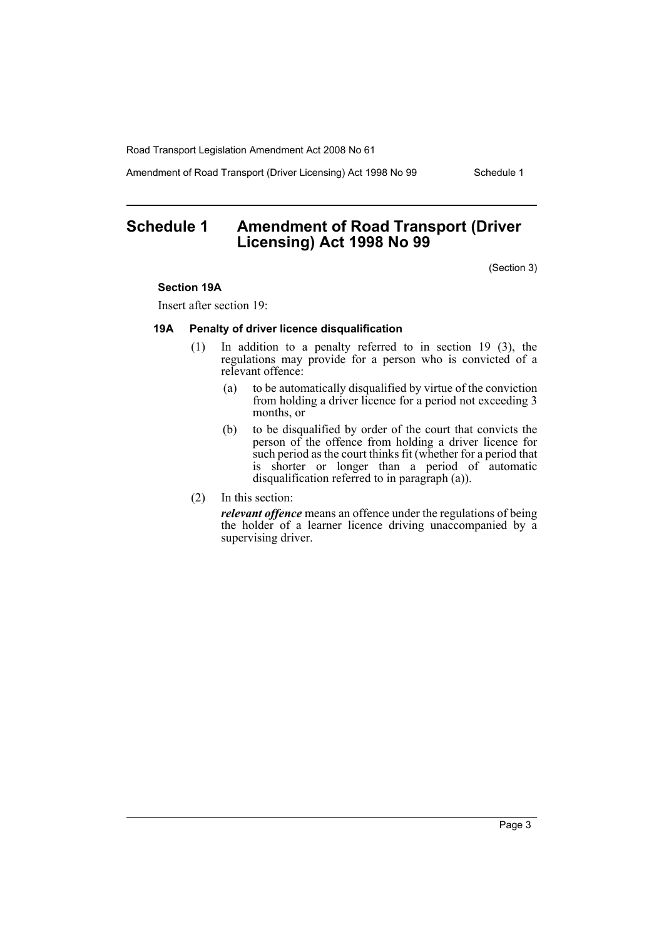Amendment of Road Transport (Driver Licensing) Act 1998 No 99 Schedule 1

# <span id="page-3-0"></span>**Schedule 1 Amendment of Road Transport (Driver Licensing) Act 1998 No 99**

(Section 3)

#### **Section 19A**

Insert after section 19:

#### **19A Penalty of driver licence disqualification**

- (1) In addition to a penalty referred to in section 19 (3), the regulations may provide for a person who is convicted of a relevant offence:
	- (a) to be automatically disqualified by virtue of the conviction from holding a driver licence for a period not exceeding 3 months, or
	- (b) to be disqualified by order of the court that convicts the person of the offence from holding a driver licence for such period as the court thinks fit (whether for a period that is shorter or longer than a period of automatic disqualification referred to in paragraph (a)).
- (2) In this section:

*relevant offence* means an offence under the regulations of being the holder of a learner licence driving unaccompanied by a supervising driver.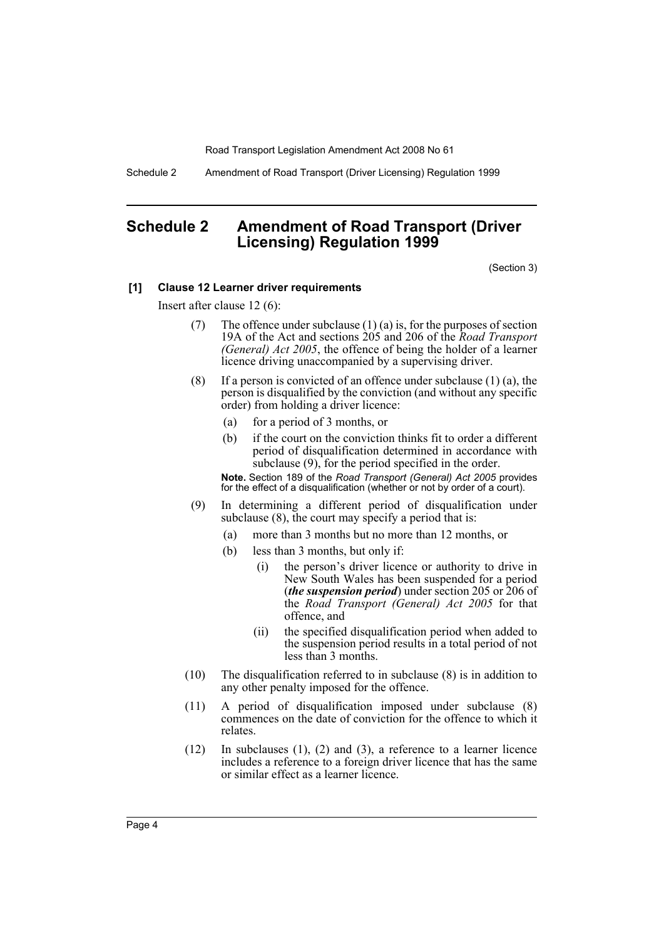Schedule 2 Amendment of Road Transport (Driver Licensing) Regulation 1999

# <span id="page-4-0"></span>**Schedule 2 Amendment of Road Transport (Driver Licensing) Regulation 1999**

(Section 3)

#### **[1] Clause 12 Learner driver requirements**

Insert after clause 12 (6):

- (7) The offence under subclause  $(1)$  (a) is, for the purposes of section 19A of the Act and sections 205 and 206 of the *Road Transport (General) Act 2005*, the offence of being the holder of a learner licence driving unaccompanied by a supervising driver.
- (8) If a person is convicted of an offence under subclause  $(1)$  (a), the person is disqualified by the conviction (and without any specific order) from holding a driver licence:
	- (a) for a period of 3 months, or
	- (b) if the court on the conviction thinks fit to order a different period of disqualification determined in accordance with subclause  $(9)$ , for the period specified in the order.

**Note.** Section 189 of the *Road Transport (General) Act 2005* provides for the effect of a disqualification (whether or not by order of a court).

- (9) In determining a different period of disqualification under subclause  $(8)$ , the court may specify a period that is:
	- (a) more than 3 months but no more than 12 months, or
	- (b) less than 3 months, but only if:
		- (i) the person's driver licence or authority to drive in New South Wales has been suspended for a period (*the suspension period*) under section 205 or 206 of the *Road Transport (General) Act 2005* for that offence, and
		- (ii) the specified disqualification period when added to the suspension period results in a total period of not less than 3 months.
- (10) The disqualification referred to in subclause (8) is in addition to any other penalty imposed for the offence.
- (11) A period of disqualification imposed under subclause (8) commences on the date of conviction for the offence to which it relates.
- (12) In subclauses (1), (2) and (3), a reference to a learner licence includes a reference to a foreign driver licence that has the same or similar effect as a learner licence.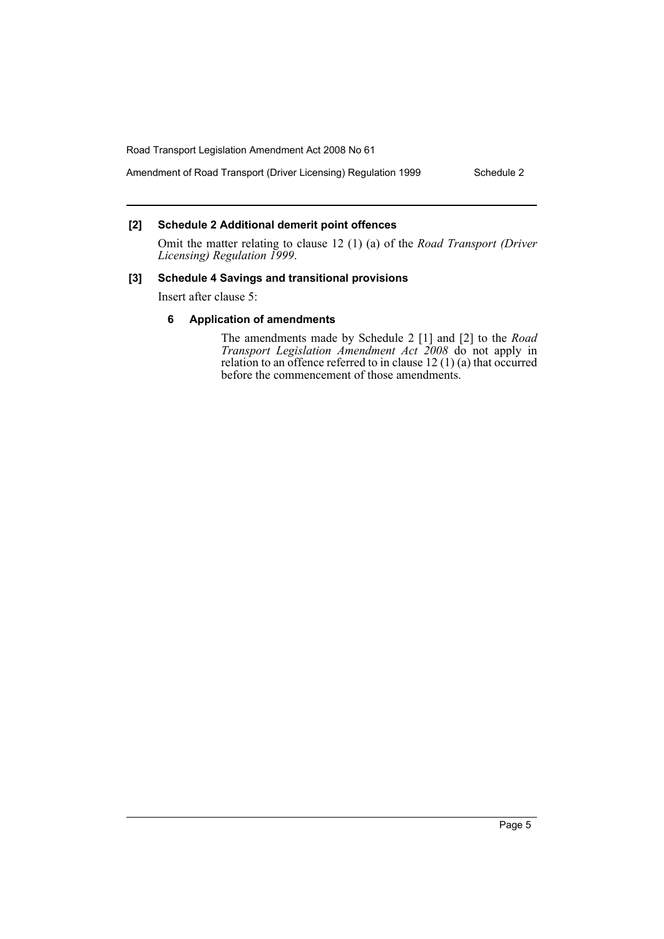# Amendment of Road Transport (Driver Licensing) Regulation 1999 Schedule 2

# **[2] Schedule 2 Additional demerit point offences**

Omit the matter relating to clause 12 (1) (a) of the *Road Transport (Driver Licensing) Regulation 1999*.

## **[3] Schedule 4 Savings and transitional provisions**

Insert after clause 5:

## **6 Application of amendments**

The amendments made by Schedule 2 [1] and [2] to the *Road Transport Legislation Amendment Act 2008* do not apply in relation to an offence referred to in clause 12 (1) (a) that occurred before the commencement of those amendments.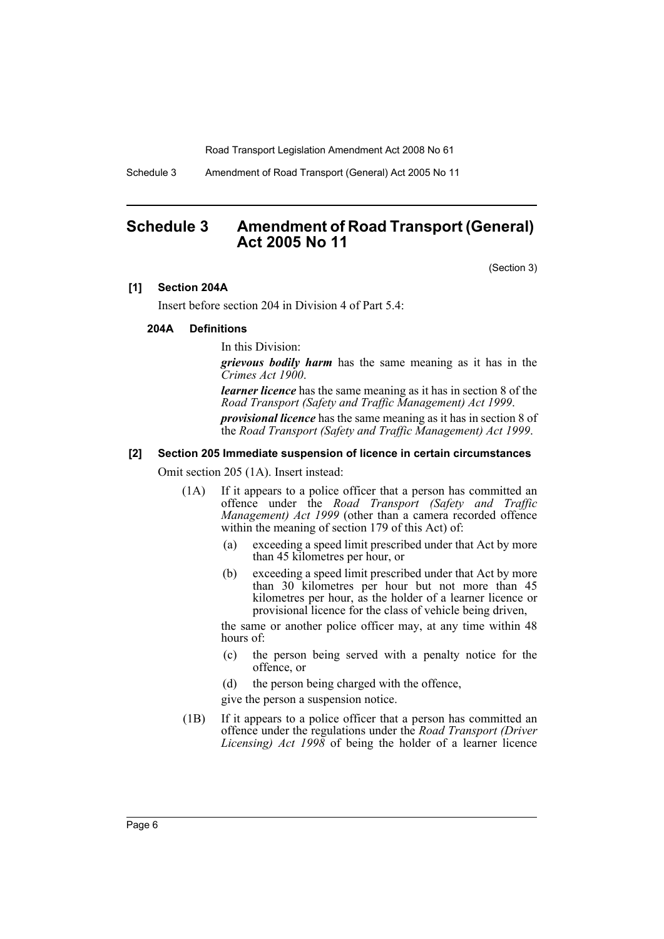Schedule 3 Amendment of Road Transport (General) Act 2005 No 11

# <span id="page-6-0"></span>**Schedule 3 Amendment of Road Transport (General) Act 2005 No 11**

(Section 3)

#### **[1] Section 204A**

Insert before section 204 in Division 4 of Part 5.4:

#### **204A Definitions**

In this Division:

*grievous bodily harm* has the same meaning as it has in the *Crimes Act 1900*.

*learner licence* has the same meaning as it has in section 8 of the *Road Transport (Safety and Traffic Management) Act 1999*.

*provisional licence* has the same meaning as it has in section 8 of the *Road Transport (Safety and Traffic Management) Act 1999*.

#### **[2] Section 205 Immediate suspension of licence in certain circumstances**

Omit section 205 (1A). Insert instead:

- (1A) If it appears to a police officer that a person has committed an offence under the *Road Transport (Safety and Traffic Management) Act 1999* (other than a camera recorded offence within the meaning of section 179 of this Act) of:
	- (a) exceeding a speed limit prescribed under that Act by more than 45 kilometres per hour, or
	- (b) exceeding a speed limit prescribed under that Act by more than 30 kilometres per hour but not more than 45 kilometres per hour, as the holder of a learner licence or provisional licence for the class of vehicle being driven,

the same or another police officer may, at any time within 48 hours of:

- (c) the person being served with a penalty notice for the offence, or
- (d) the person being charged with the offence,
- give the person a suspension notice.
- (1B) If it appears to a police officer that a person has committed an offence under the regulations under the *Road Transport (Driver Licensing) Act 1998* of being the holder of a learner licence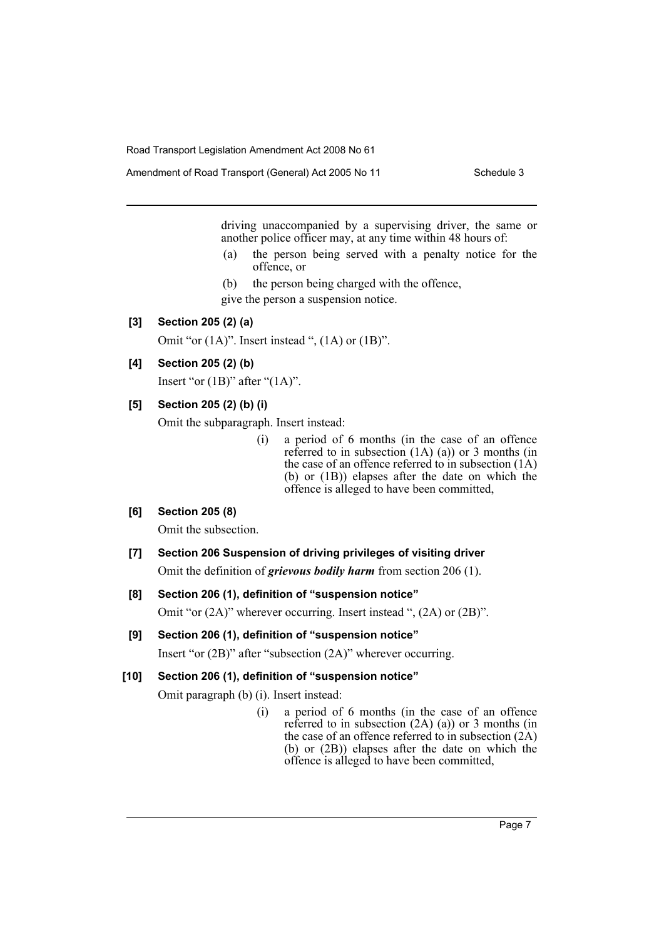Amendment of Road Transport (General) Act 2005 No 11 Schedule 3

driving unaccompanied by a supervising driver, the same or another police officer may, at any time within 48 hours of:

- (a) the person being served with a penalty notice for the offence, or
- (b) the person being charged with the offence, give the person a suspension notice.

## **[3] Section 205 (2) (a)**

Omit "or  $(1A)$ ". Insert instead ",  $(1A)$  or  $(1B)$ ".

# **[4] Section 205 (2) (b)**

Insert "or  $(1B)$ " after " $(1A)$ ".

# **[5] Section 205 (2) (b) (i)**

Omit the subparagraph. Insert instead:

(i) a period of 6 months (in the case of an offence referred to in subsection  $(1A)$   $(a)$ ) or 3 months (in the case of an offence referred to in subsection (1A) (b) or (1B)) elapses after the date on which the offence is alleged to have been committed,

## **[6] Section 205 (8)**

Omit the subsection.

**[7] Section 206 Suspension of driving privileges of visiting driver** Omit the definition of *grievous bodily harm* from section 206 (1).

#### **[8] Section 206 (1), definition of "suspension notice"**

Omit "or (2A)" wherever occurring. Insert instead ", (2A) or (2B)".

#### **[9] Section 206 (1), definition of "suspension notice"**

Insert "or (2B)" after "subsection (2A)" wherever occurring.

## **[10] Section 206 (1), definition of "suspension notice"**

Omit paragraph (b) (i). Insert instead:

(i) a period of 6 months (in the case of an offence referred to in subsection  $(2A)$   $(a)$ ) or 3 months (in the case of an offence referred to in subsection (2A) (b) or (2B)) elapses after the date on which the offence is alleged to have been committed,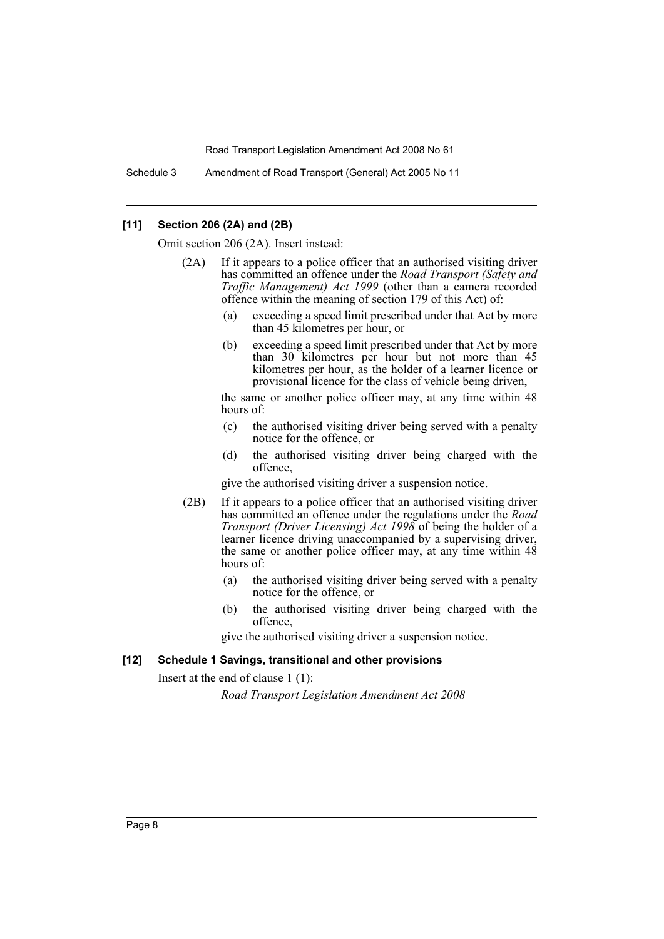Schedule 3 Amendment of Road Transport (General) Act 2005 No 11

#### **[11] Section 206 (2A) and (2B)**

Omit section 206 (2A). Insert instead:

- (2A) If it appears to a police officer that an authorised visiting driver has committed an offence under the *Road Transport (Safety and Traffic Management) Act 1999* (other than a camera recorded offence within the meaning of section 179 of this Act) of:
	- (a) exceeding a speed limit prescribed under that Act by more than 45 kilometres per hour, or
	- (b) exceeding a speed limit prescribed under that Act by more than 30 kilometres per hour but not more than 45 kilometres per hour, as the holder of a learner licence or provisional licence for the class of vehicle being driven,

the same or another police officer may, at any time within 48 hours of:

- (c) the authorised visiting driver being served with a penalty notice for the offence, or
- (d) the authorised visiting driver being charged with the offence,

give the authorised visiting driver a suspension notice.

- (2B) If it appears to a police officer that an authorised visiting driver has committed an offence under the regulations under the *Road Transport (Driver Licensing) Act 1998* of being the holder of a learner licence driving unaccompanied by a supervising driver, the same or another police officer may, at any time within 48 hours of:
	- (a) the authorised visiting driver being served with a penalty notice for the offence, or
	- (b) the authorised visiting driver being charged with the offence,

give the authorised visiting driver a suspension notice.

#### **[12] Schedule 1 Savings, transitional and other provisions**

Insert at the end of clause 1 (1):

*Road Transport Legislation Amendment Act 2008*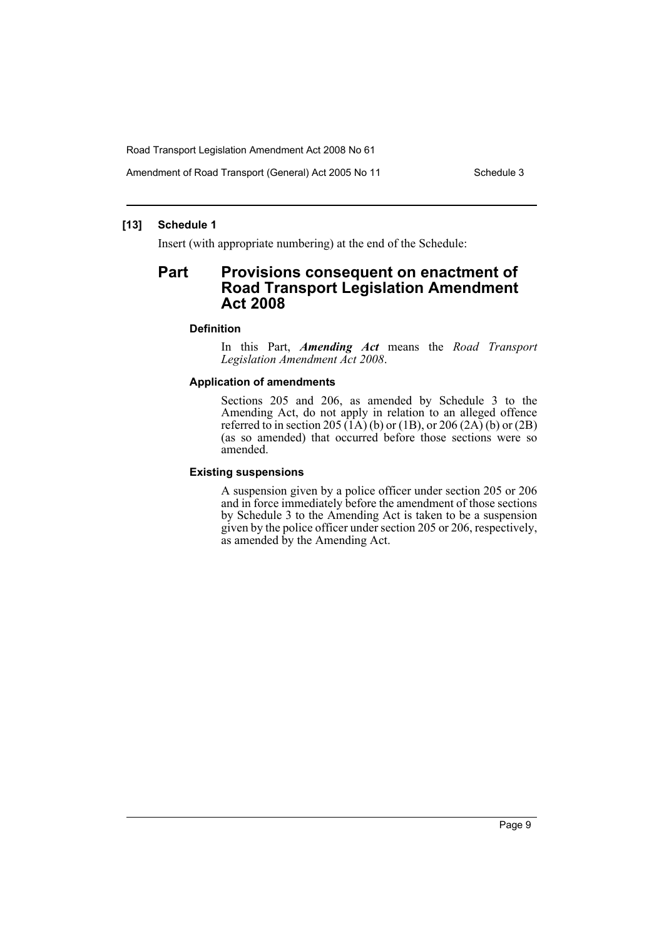Amendment of Road Transport (General) Act 2005 No 11 Schedule 3

#### **[13] Schedule 1**

Insert (with appropriate numbering) at the end of the Schedule:

# **Part Provisions consequent on enactment of Road Transport Legislation Amendment Act 2008**

#### **Definition**

In this Part, *Amending Act* means the *Road Transport Legislation Amendment Act 2008*.

#### **Application of amendments**

Sections 205 and 206, as amended by Schedule 3 to the Amending Act, do not apply in relation to an alleged offence referred to in section 205  $(\hat{1}A)(b)$  or (1B), or 206 (2A) (b) or (2B) (as so amended) that occurred before those sections were so amended.

#### **Existing suspensions**

A suspension given by a police officer under section 205 or 206 and in force immediately before the amendment of those sections by Schedule 3 to the Amending Act is taken to be a suspension given by the police officer under section 205 or 206, respectively, as amended by the Amending Act.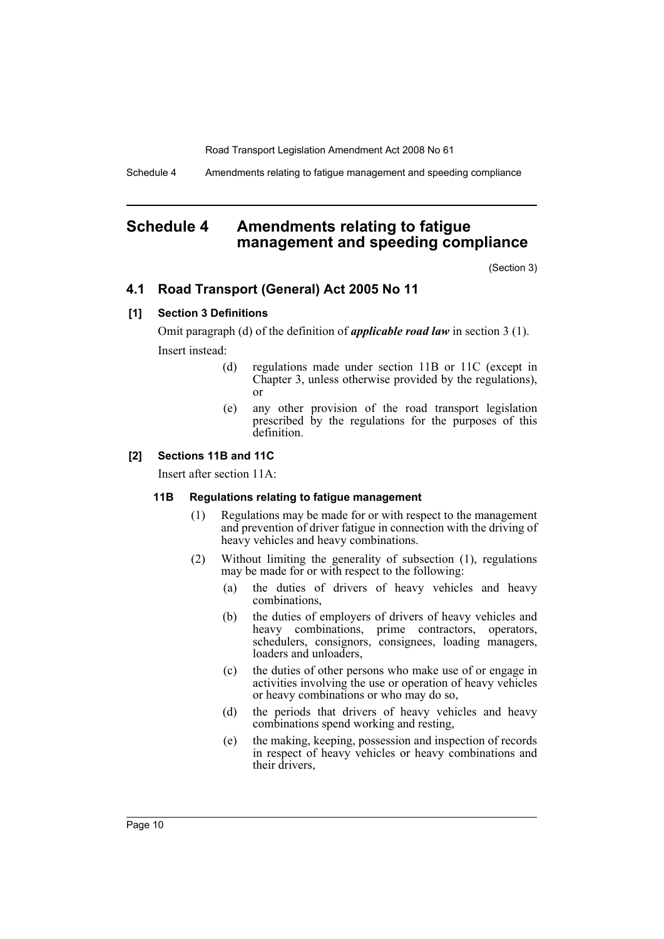Schedule 4 Amendments relating to fatigue management and speeding compliance

# <span id="page-10-0"></span>**Schedule 4 Amendments relating to fatigue management and speeding compliance**

(Section 3)

# **4.1 Road Transport (General) Act 2005 No 11**

## **[1] Section 3 Definitions**

Omit paragraph (d) of the definition of *applicable road law* in section 3 (1). Insert instead:

- (d) regulations made under section 11B or 11C (except in Chapter 3, unless otherwise provided by the regulations), or
- (e) any other provision of the road transport legislation prescribed by the regulations for the purposes of this definition.

#### **[2] Sections 11B and 11C**

Insert after section 11A:

#### **11B Regulations relating to fatigue management**

- (1) Regulations may be made for or with respect to the management and prevention of driver fatigue in connection with the driving of heavy vehicles and heavy combinations.
- (2) Without limiting the generality of subsection (1), regulations may be made for or with respect to the following:
	- (a) the duties of drivers of heavy vehicles and heavy combinations,
	- (b) the duties of employers of drivers of heavy vehicles and heavy combinations, prime contractors, operators, schedulers, consignors, consignees, loading managers, loaders and unloaders,
	- (c) the duties of other persons who make use of or engage in activities involving the use or operation of heavy vehicles or heavy combinations or who may do so,
	- (d) the periods that drivers of heavy vehicles and heavy combinations spend working and resting,
	- (e) the making, keeping, possession and inspection of records in respect of heavy vehicles or heavy combinations and their drivers,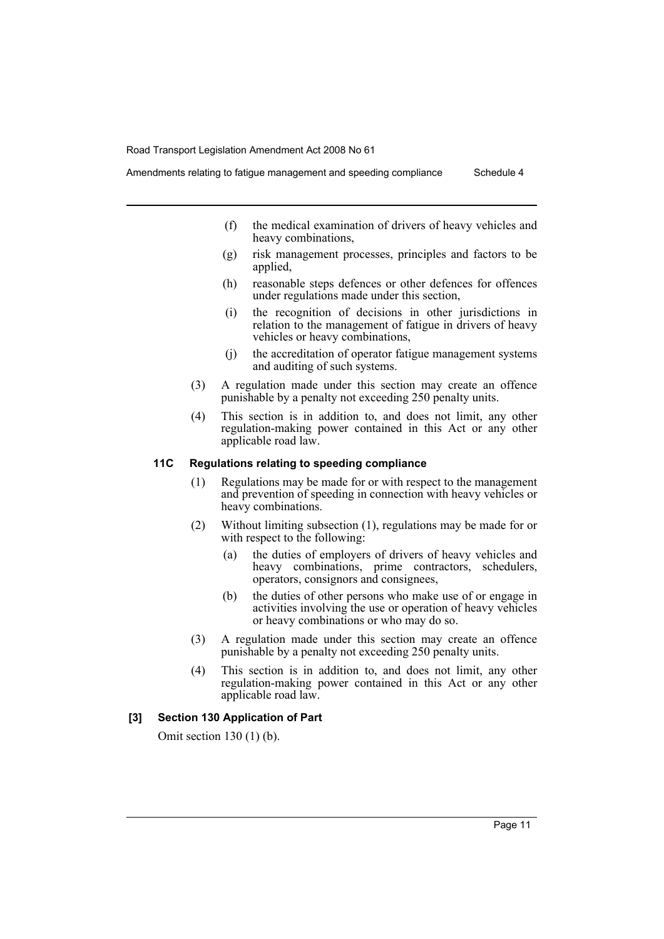Amendments relating to fatigue management and speeding compliance Schedule 4

- (f) the medical examination of drivers of heavy vehicles and heavy combinations,
- (g) risk management processes, principles and factors to be applied,
- (h) reasonable steps defences or other defences for offences under regulations made under this section,
- (i) the recognition of decisions in other jurisdictions in relation to the management of fatigue in drivers of heavy vehicles or heavy combinations,
- (j) the accreditation of operator fatigue management systems and auditing of such systems.
- (3) A regulation made under this section may create an offence punishable by a penalty not exceeding 250 penalty units.
- (4) This section is in addition to, and does not limit, any other regulation-making power contained in this Act or any other applicable road law.

#### **11C Regulations relating to speeding compliance**

- (1) Regulations may be made for or with respect to the management and prevention of speeding in connection with heavy vehicles or heavy combinations.
- (2) Without limiting subsection (1), regulations may be made for or with respect to the following:
	- (a) the duties of employers of drivers of heavy vehicles and heavy combinations, prime contractors, schedulers, operators, consignors and consignees,
	- (b) the duties of other persons who make use of or engage in activities involving the use or operation of heavy vehicles or heavy combinations or who may do so.
- (3) A regulation made under this section may create an offence punishable by a penalty not exceeding 250 penalty units.
- (4) This section is in addition to, and does not limit, any other regulation-making power contained in this Act or any other applicable road law.

#### **[3] Section 130 Application of Part**

Omit section 130 (1) (b).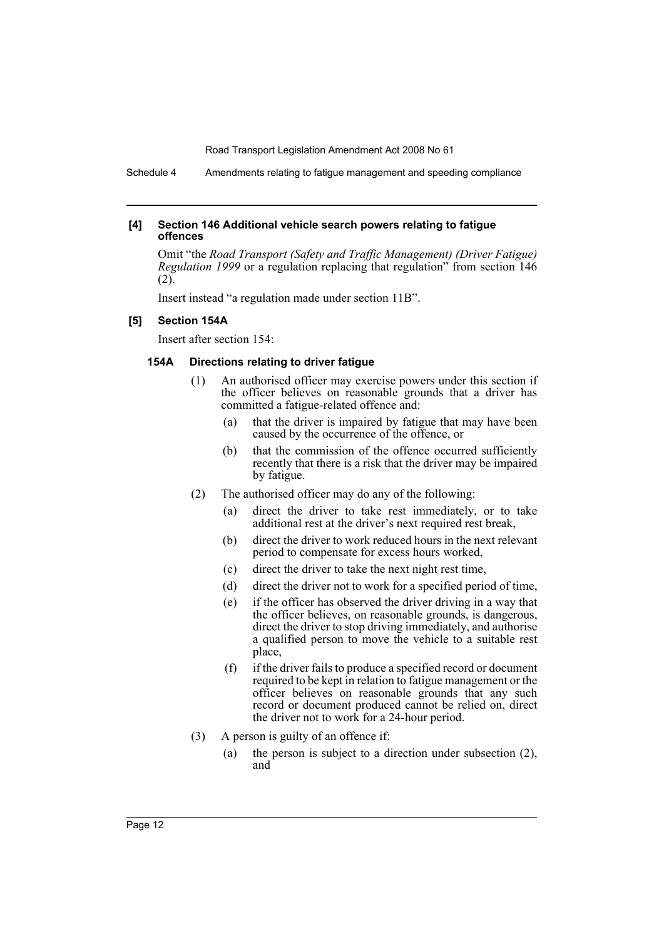Schedule 4 Amendments relating to fatigue management and speeding compliance

#### **[4] Section 146 Additional vehicle search powers relating to fatigue offences**

Omit "the *Road Transport (Safety and Traffic Management) (Driver Fatigue) Regulation 1999* or a regulation replacing that regulation<sup>"</sup> from section 146 (2).

Insert instead "a regulation made under section 11B".

#### **[5] Section 154A**

Insert after section 154:

#### **154A Directions relating to driver fatigue**

- (1) An authorised officer may exercise powers under this section if the officer believes on reasonable grounds that a driver has committed a fatigue-related offence and:
	- (a) that the driver is impaired by fatigue that may have been caused by the occurrence of the offence, or
	- (b) that the commission of the offence occurred sufficiently recently that there is a risk that the driver may be impaired by fatigue.
- (2) The authorised officer may do any of the following:
	- (a) direct the driver to take rest immediately, or to take additional rest at the driver's next required rest break,
	- (b) direct the driver to work reduced hours in the next relevant period to compensate for excess hours worked,
	- (c) direct the driver to take the next night rest time,
	- (d) direct the driver not to work for a specified period of time,
	- (e) if the officer has observed the driver driving in a way that the officer believes, on reasonable grounds, is dangerous, direct the driver to stop driving immediately, and authorise a qualified person to move the vehicle to a suitable rest place,
	- (f) if the driver fails to produce a specified record or document required to be kept in relation to fatigue management or the officer believes on reasonable grounds that any such record or document produced cannot be relied on, direct the driver not to work for a 24-hour period.
- (3) A person is guilty of an offence if:
	- (a) the person is subject to a direction under subsection (2), and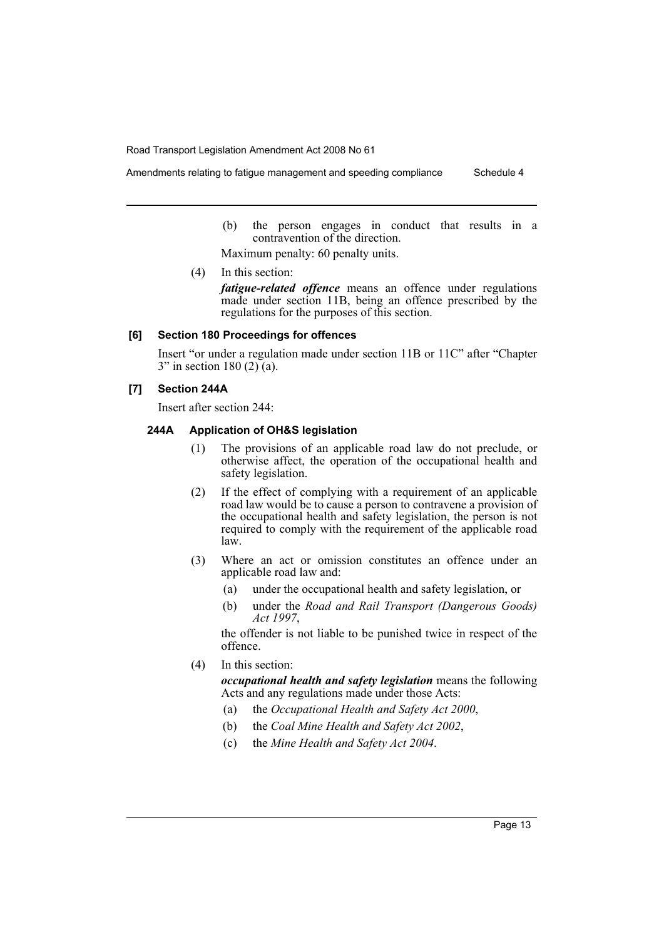Amendments relating to fatigue management and speeding compliance Schedule 4

(b) the person engages in conduct that results in a contravention of the direction.

Maximum penalty: 60 penalty units.

(4) In this section:

*fatigue-related offence* means an offence under regulations made under section 11B, being an offence prescribed by the regulations for the purposes of this section.

# **[6] Section 180 Proceedings for offences**

Insert "or under a regulation made under section 11B or 11C" after "Chapter  $3"$  in section 180 (2) (a).

#### **[7] Section 244A**

Insert after section 244:

#### **244A Application of OH&S legislation**

- (1) The provisions of an applicable road law do not preclude, or otherwise affect, the operation of the occupational health and safety legislation.
- (2) If the effect of complying with a requirement of an applicable road law would be to cause a person to contravene a provision of the occupational health and safety legislation, the person is not required to comply with the requirement of the applicable road law.
- (3) Where an act or omission constitutes an offence under an applicable road law and:
	- (a) under the occupational health and safety legislation, or
	- (b) under the *Road and Rail Transport (Dangerous Goods) Act 1997*,

the offender is not liable to be punished twice in respect of the offence.

(4) In this section:

*occupational health and safety legislation* means the following Acts and any regulations made under those Acts:

- (a) the *Occupational Health and Safety Act 2000*,
- (b) the *Coal Mine Health and Safety Act 2002*,
- (c) the *Mine Health and Safety Act 2004*.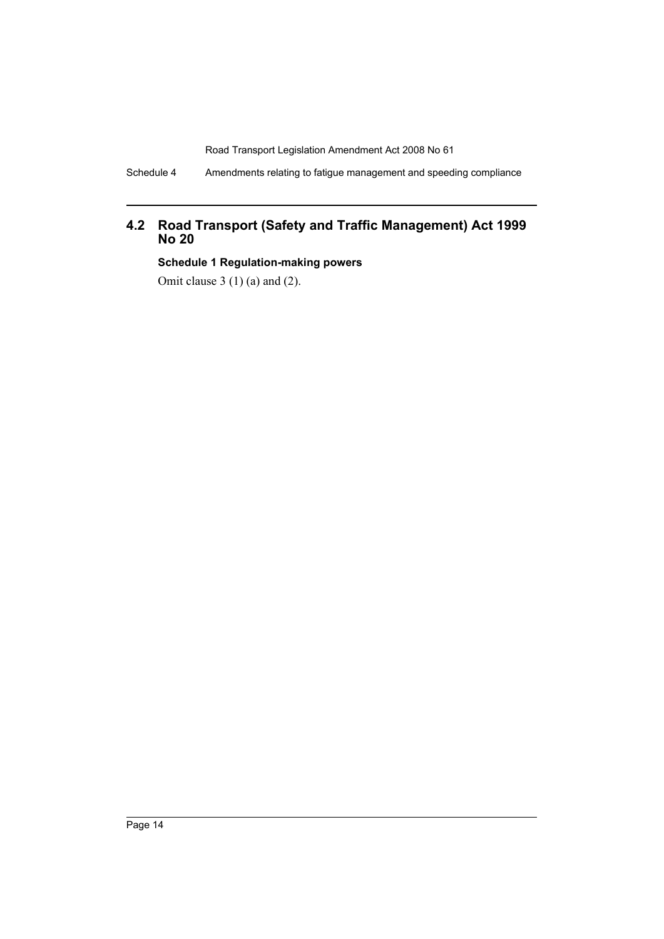Schedule 4 Amendments relating to fatigue management and speeding compliance

# **4.2 Road Transport (Safety and Traffic Management) Act 1999 No 20**

**Schedule 1 Regulation-making powers**

Omit clause 3 (1) (a) and (2).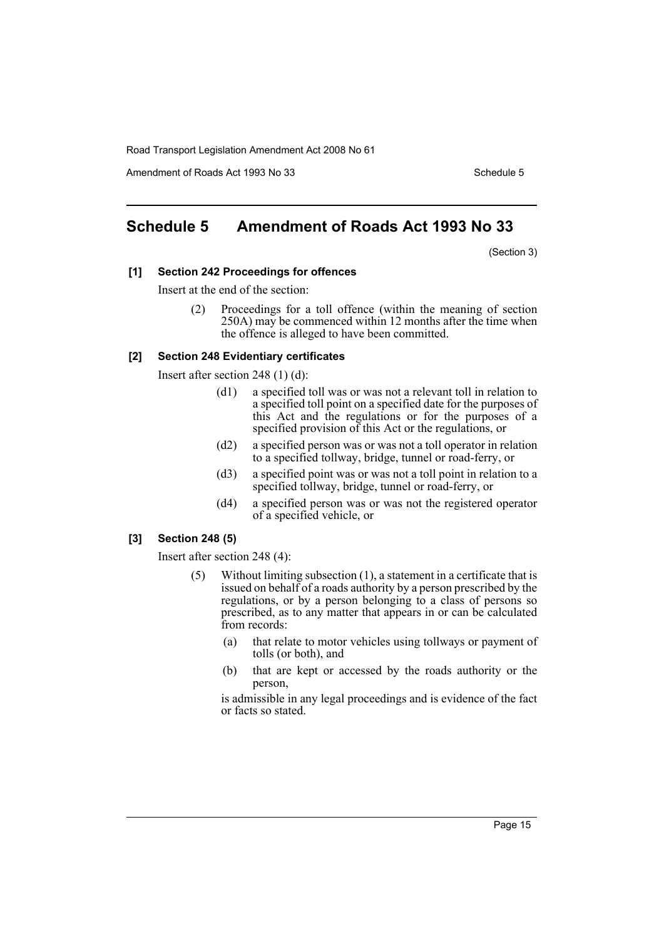Amendment of Roads Act 1993 No 33 Schedule 5

# <span id="page-15-0"></span>**Schedule 5 Amendment of Roads Act 1993 No 33**

(Section 3)

#### **[1] Section 242 Proceedings for offences**

Insert at the end of the section:

Proceedings for a toll offence (within the meaning of section 250A) may be commenced within 12 months after the time when the offence is alleged to have been committed.

#### **[2] Section 248 Evidentiary certificates**

Insert after section 248 (1) (d):

- (d1) a specified toll was or was not a relevant toll in relation to a specified toll point on a specified date for the purposes of this Act and the regulations or for the purposes of a specified provision of this Act or the regulations, or
- (d2) a specified person was or was not a toll operator in relation to a specified tollway, bridge, tunnel or road-ferry, or
- (d3) a specified point was or was not a toll point in relation to a specified tollway, bridge, tunnel or road-ferry, or
- (d4) a specified person was or was not the registered operator of a specified vehicle, or

#### **[3] Section 248 (5)**

Insert after section 248 (4):

- (5) Without limiting subsection (1), a statement in a certificate that is issued on behalf of a roads authority by a person prescribed by the regulations, or by a person belonging to a class of persons so prescribed, as to any matter that appears in or can be calculated from records:
	- (a) that relate to motor vehicles using tollways or payment of tolls (or both), and
	- (b) that are kept or accessed by the roads authority or the person,

is admissible in any legal proceedings and is evidence of the fact or facts so stated.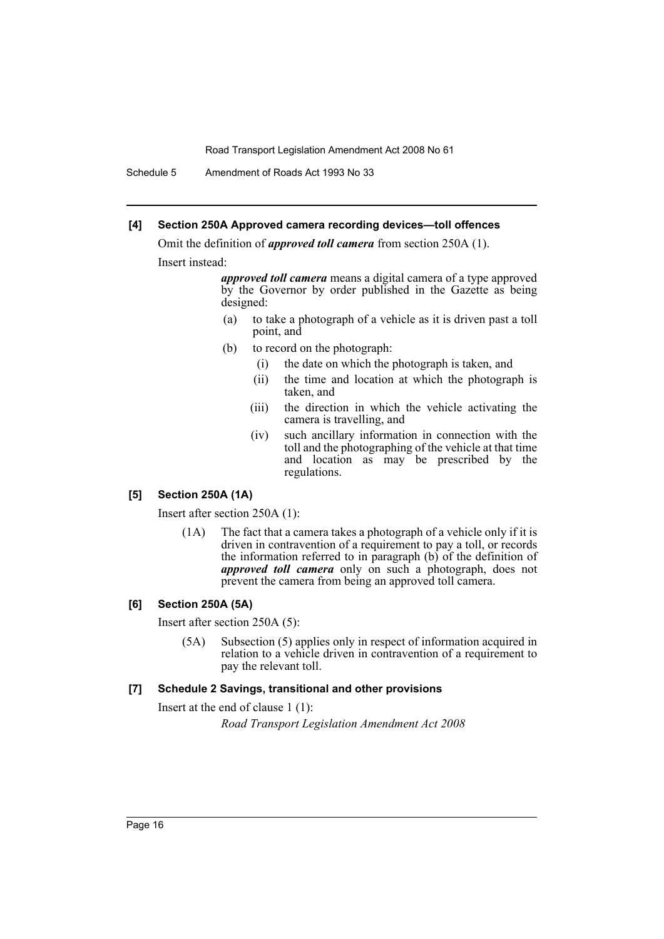Schedule 5 Amendment of Roads Act 1993 No 33

#### **[4] Section 250A Approved camera recording devices—toll offences**

Omit the definition of *approved toll camera* from section 250A (1). Insert instead:

> *approved toll camera* means a digital camera of a type approved by the Governor by order published in the Gazette as being designed:

- (a) to take a photograph of a vehicle as it is driven past a toll point, and
- (b) to record on the photograph:
	- (i) the date on which the photograph is taken, and
	- (ii) the time and location at which the photograph is taken, and
	- (iii) the direction in which the vehicle activating the camera is travelling, and
	- (iv) such ancillary information in connection with the toll and the photographing of the vehicle at that time and location as may be prescribed by the regulations.

#### **[5] Section 250A (1A)**

Insert after section 250A (1):

(1A) The fact that a camera takes a photograph of a vehicle only if it is driven in contravention of a requirement to pay a toll, or records the information referred to in paragraph (b) of the definition of *approved toll camera* only on such a photograph, does not prevent the camera from being an approved toll camera.

#### **[6] Section 250A (5A)**

Insert after section 250A (5):

(5A) Subsection (5) applies only in respect of information acquired in relation to a vehicle driven in contravention of a requirement to pay the relevant toll.

#### **[7] Schedule 2 Savings, transitional and other provisions**

Insert at the end of clause 1 (1):

*Road Transport Legislation Amendment Act 2008*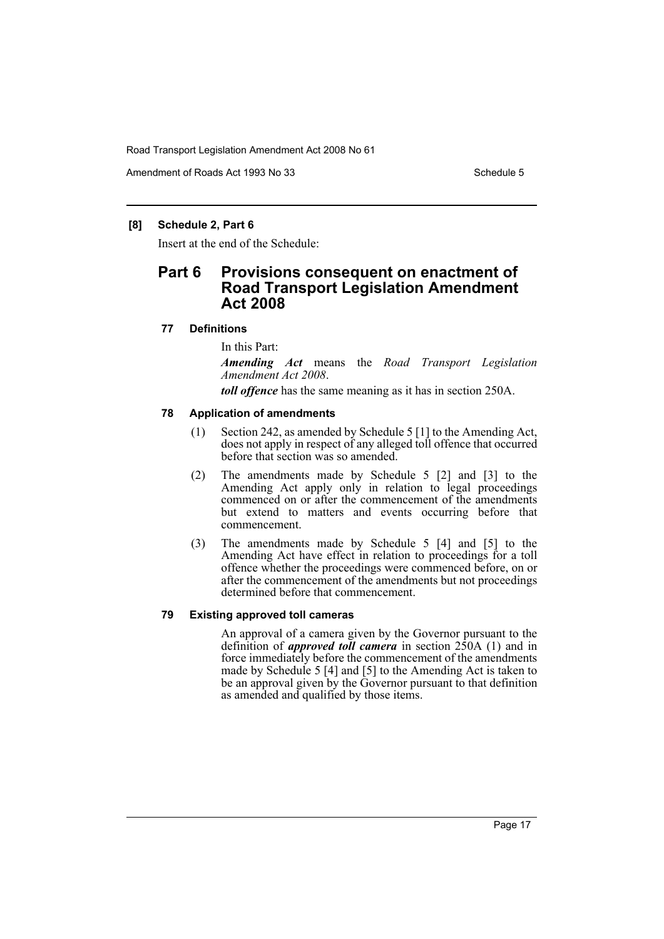Amendment of Roads Act 1993 No 33 Schedule 5

## **[8] Schedule 2, Part 6**

Insert at the end of the Schedule:

# **Part 6 Provisions consequent on enactment of Road Transport Legislation Amendment Act 2008**

#### **77 Definitions**

In this Part:

*Amending Act* means the *Road Transport Legislation Amendment Act 2008*.

*toll offence* has the same meaning as it has in section 250A.

#### **78 Application of amendments**

- (1) Section 242, as amended by Schedule 5 [1] to the Amending Act, does not apply in respect of any alleged toll offence that occurred before that section was so amended.
- (2) The amendments made by Schedule 5 [2] and [3] to the Amending Act apply only in relation to legal proceedings commenced on or after the commencement of the amendments but extend to matters and events occurring before that commencement.
- (3) The amendments made by Schedule 5 [4] and [5] to the Amending Act have effect in relation to proceedings for a toll offence whether the proceedings were commenced before, on or after the commencement of the amendments but not proceedings determined before that commencement.

#### **79 Existing approved toll cameras**

An approval of a camera given by the Governor pursuant to the definition of *approved toll camera* in section 250A (1) and in force immediately before the commencement of the amendments made by Schedule 5 [4] and [5] to the Amending Act is taken to be an approval given by the Governor pursuant to that definition as amended and qualified by those items.